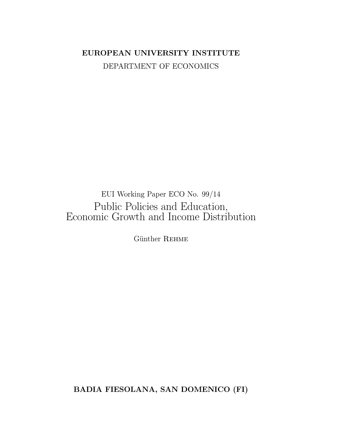## EUROPEAN UNIVERSITY INSTITUTE DEPARTMENT OF ECONOMICS

## $EUI$  Working Paper ECO No.  $99/14$ Public Policies and Education, Economic Growth and Income Distribution

Günther REHME

BADIA FIESOLANA, SAN DOMENICO (FI)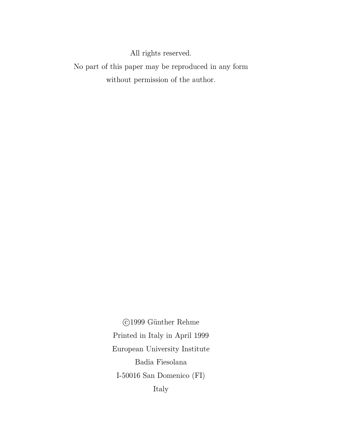All rights reserved.  $\,$ 

No part of this paper may be reproduced in any form without permission of the author.

> ©1999 Günther Rehme Printed in Italy in April 1999 European University Institute Badia Fiesolana I-50016 San Domenico (FI) Italy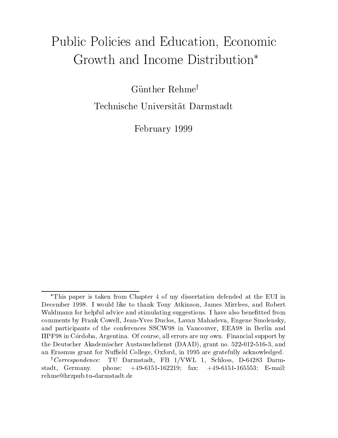# Public Policies and Education, Economic Growth and Income Distribution

Günther Rehme<sup>†</sup>

Technische Universitat Darmstadt

February <sup>1999</sup>

This paper is taken from Chapter 4 of my dissertation defended at the EUI in December 1998. I would like to thank Tony Atkinson, James Mirrlees, and Robert Waldmann for helpful advice and stimulating suggestions. I have also benefitted from comments by Frank Cowell, Jean-Yves Duclos, Lavan Mahadeva, Eugene Smolensky, and participants of the conferences SSCW98 in Vancouver, EEA98 in Berlin and IIPF98 in Cordoba, Argentina. Of course, all errors are my own. Financial support by the Deutscher Akademischer Austauschdienst (DAAD), grant no. 522-012-516-3, and an Erasmus grant for Nuffield College, Oxford, in 1995 are gratefully acknowledged.

<sup>&</sup>lt;sup>†</sup>Correspondence: TU Darmstadt, FB 1/VWL 1, Schloss, D-64283 Darmstadt, Germany. phone: +49-6151-162219; fax: +49-6151-165553; E-mail: rehme@hrzpub.tu-darmstadt.de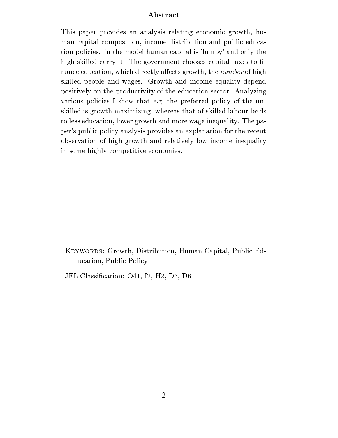#### Abstract

This paper provides an analysis relating economic growth, human capital composition, income distribution and public education policies. In the model human capital is 'lumpy' and only the high skilled carry it. The government chooses capital taxes to finance education, which directly affects growth, the *number* of high skilled people and wages. Growth and income equality depend positively on the productivity of the education sector. Analyzing various policies I show that e.g. the preferred policy of the unskilled is growth maximizing, whereas that of skilled labour leads to less education, lower growth and more wage inequality. The paper's public policy analysis provides an explanation for the recent observation of high growth and relatively low income inequality in some highly competitive economies.

KEYWORDS: Growth, Distribution, Human Capital, Public Education, Public Policy

JEL Classication: O41, I2, H2, D3, D6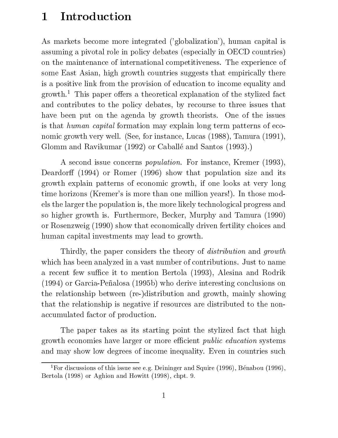## 1 Introduction

As markets become more integrated ('globalization'), human capital is assuming a pivotal role in policy debates (especially in OECD countries) on the maintenance of international competitiveness. The experience of some East Asian, high growth countries suggests that empirically there is a positive link from the provision of education to income equality and growth.<sup>1</sup> This paper offers a theoretical explanation of the stylized fact and contributes to the policy debates, by recourse to three issues that have been put on the agenda by growth theorists. One of the issues is that human capital formation may explain long term patterns of economic growth very well. (See, for instance, Lucas (1988), Tamura (1991), Glomm and Ravikumar (1992) or Caballe and Santos (1993).)

A second issue concerns population. For instance, Kremer (1993), Deardorff (1994) or Romer (1996) show that population size and its growth explain patterns of economic growth, if one looks at very long time horizons (Kremer's is more than one million years!). In those models the larger the population is, the more likely technological progress and so higher growth is. Furthermore, Becker, Murphy and Tamura (1990) or Rosenzweig (1990) show that economically driven fertility choices and human capital investments may lead to growth.

Thirdly, the paper considers the theory of *distribution* and *growth* which has been analyzed in a vast number of contributions. Just to name a recent few suffice it to mention Bertola (1993), Alesina and Rodrik  $(1994)$  or Garcia-Peñalosa  $(1995b)$  who derive interesting conclusions on the relationship between (re-)distribution and growth, mainly showing that the relationship is negative if resources are distributed to the nonaccumulated factor of production.

The paper takes as its starting point the stylized fact that high growth economies have larger or more efficient *public education* systems and may show low degrees of income inequality. Even in countries such

<sup>&</sup>lt;sup>1</sup>For discussions of this issue see e.g. Deininger and Squire (1996), Bénabou (1996), Bertola (1998) or Aghion and Howitt (1998), chpt. 9.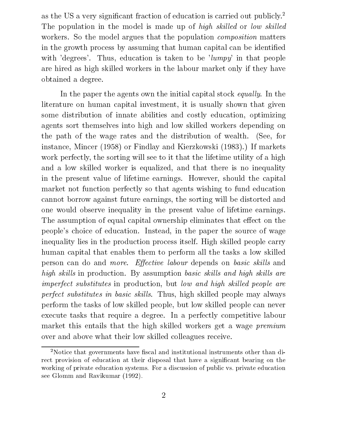as the US a very significant fraction of education is carried out publicly.<sup>2</sup> The population in the model is made up of *high skilled* or *low skilled* workers. So the model argues that the population *composition* matters in the growth process by assuming that human capital can be identied with 'degrees'. Thus, education is taken to be 'lumpy' in that people are hired as high skilled workers in the labour market only if they have obtained a degree.

In the paper the agents own the initial capital stock equally. In the literature on human capital investment, it is usually shown that given some distribution of innate abilities and costly education, optimizing agents sort themselves into high and low skilled workers depending on the path of the wage rates and the distribution of wealth. (See, for instance, Mincer (1958) or Findlay and Kierzkowski (1983).) If markets work perfectly, the sorting will see to it that the lifetime utility of a high and a low skilled worker is equalized, and that there is no inequality in the present value of lifetime earnings. However, should the capital market not function perfectly so that agents wishing to fund education cannot borrow against future earnings, the sorting will be distorted and one would observe inequality in the present value of lifetime earnings. The assumption of equal capital ownership eliminates that effect on the people's choice of education. Instead, in the paper the source of wage inequality lies in the production process itself. High skilled people carry human capital that enables them to perform all the tasks a low skilled person can do and *more.* Effective labour depends on basic skills and high skills in production. By assumption basic skills and high skills are imperfect substitutes in production, but low and high skilled people are perfect substitutes in basic skills. Thus, high skilled people may always perform the tasks of low skilled people, but low skilled people can never execute tasks that require a degree. In a perfectly competitive labour market this entails that the high skilled workers get a wage *premium* over and above what their low skilled colleagues receive.

<sup>&</sup>lt;sup>2</sup>Notice that governments have fiscal and institutional instruments other than direct provision of education at their disposal that have a significant bearing on the working of private education systems. For a discussion of public vs. private education see Glomm and Ravikumar (1992).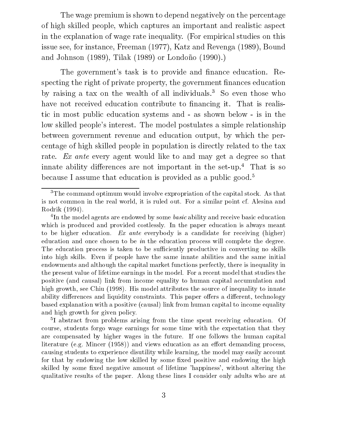The wage premium is shown to depend negatively on the percentage of high skilled people, which captures an important and realistic aspect in the explanation of wage rate inequality. (For empirical studies on this issue see, for instance, Freeman (1977), Katz and Revenga (1989), Bound and Johnson  $(1989)$ , Tilak  $(1989)$  or Londoño  $(1990)$ .)

The government's task is to provide and finance education. Respecting the right of private property, the government finances education by raising a tax on the wealth of all individuals.3 So even those who have not received education contribute to financing it. That is realistic in most public education systems and - as shown below - is in the low skilled people's interest. The model postulates a simple relationship between government revenue and education output, by which the percentage of high skilled people in population is directly related to the tax rate. Ex ante every agent would like to and may get a degree so that innate ability differences are not important in the set-up.<sup>4</sup> That is so because I assume that education is provided as a public good.<sup>5</sup>

<sup>5</sup> I abstract from problems arising from the time spent receiving education. Of course, students forgo wage earnings for some time with the expectation that they are compensated by higher wages in the future. If one follows the human capital literature (e.g. Mincer  $(1958)$ ) and views education as an effort demanding process, causing students to experience disutility while learning, the model may easily account for that by endowing the low skilled by some fixed positive and endowing the high skilled by some fixed negative amount of lifetime 'happiness', without altering the qualitative results of the paper. Along these lines I consider only adults who are at

<sup>&</sup>lt;sup>3</sup>The command optimum would involve expropriation of the capital stock. As that is not common in the real world, it is ruled out. For a similar point cf. Alesina and Rodrik (1994).

 $\lceil 1\text{\textsc{ii}}\rceil$  the model agents are endowed by some *basic* ability and receive basic education which is produced and provided costlessly. In the paper education is always meant to be higher education. Ex ante everybody is a candidate for receiving (higher) education and once chosen to be in the education process will complete the degree. The education process is taken to be sufficiently productive in converting no skills into high skills. Even if people have the same innate abilities and the same initial endowments and although the capital market functions perfectly, there is inequality in the present value of lifetime earnings in the model. For a recent model that studies the positive (and causal) link from income equality to human capital accumulation and high growth, see Chiu (1998). His model attributes the source of inequality to innate ability differences and liquidity constraints. This paper offers a different, technology based explanation with a positive (causal) link from human capital to income equality and high growth for given policy.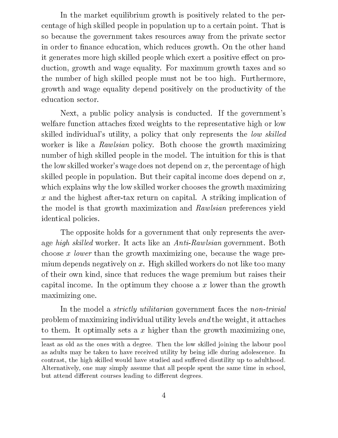In the market equilibrium growth is positively related to the percentage of high skilled people in population up to a certain point. That is so because the government takes resources away from the private sector in order to finance education, which reduces growth. On the other hand it generates more high skilled people which exert a positive effect on production, growth and wage equality. For maximum growth taxes and so the number of high skilled people must not be too high. Furthermore, growth and wage equality depend positively on the productivity of the education sector.

Next, a public policy analysis is conducted. If the government's welfare function attaches fixed weights to the representative high or low skilled individual's utility, a policy that only represents the low skilled worker is like a Rawlsian policy. Both choose the growth maximizing number of high skilled people in the model. The intuition for this is that the low skilled worker's wage does not depend on  $x$ , the percentage of high skilled people in population. But their capital income does depend on  $x$ , which explains why the low skilled worker chooses the growth maximizing x and the highest after-tax return on capital. A striking implication of the model is that growth maximization and Rawlsian preferences yield identical policies.

The opposite holds for a government that only represents the average *high skilled* worker. It acts like an *Anti-Rawlsian* government. Both choose x lower than the growth maximizing one, because the wage premium depends negatively on x. High skilled workers do not like too many of their own kind, since that reduces the wage premium but raises their capital income. In the optimum they choose a x lower than the growth maximizing one.

In the model a *strictly utilitarian* government faces the *non-trivial* problem of maximizing individual utility levels and the weight, it attaches to them. It optimally sets a  $x$  higher than the growth maximizing one,

least as old as the ones with a degree. Then the low skilled joining the labour pool as adults may be taken to have received utility by being idle during adolescence. In contrast, the high skilled would have studied and suffered disutility up to adulthood. Alternatively, one may simply assume that all people spent the same time in school, but attend different courses leading to different degrees.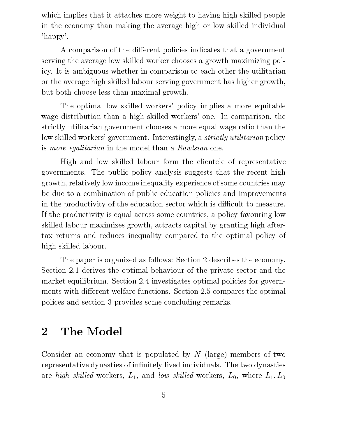which implies that it attaches more weight to having high skilled people in the economy than making the average high or low skilled individual 'happy'.

A comparison of the different policies indicates that a government serving the average low skilled worker chooses a growth maximizing policy. It is ambiguous whether in comparison to each other the utilitarian or the average high skilled labour serving government has higher growth, but both choose less than maximal growth.

The optimal low skilled workers' policy implies a more equitable wage distribution than a high skilled workers' one. In comparison, the strictly utilitarian government chooses a more equal wage ratio than the low skilled workers' government. Interestingly, a *strictly utilitarian* policy is more egalitarian in the model than a Rawlsian one.

High and low skilled labour form the clientele of representative governments. The public policy analysis suggests that the recent high growth, relatively low income inequality experience of some countries may be due to a combination of public education policies and improvements in the productivity of the education sector which is difficult to measure. If the productivity is equal across some countries, a policy favouring low skilled labour maximizes growth, attracts capital by granting high aftertax returns and reduces inequality compared to the optimal policy of high skilled labour.

The paper is organized as follows: Section 2 describes the economy. Section 2.1 derives the optimal behaviour of the private sector and the market equilibrium. Section 2.4 investigates optimal policies for governments with different welfare functions. Section 2.5 compares the optimal polices and section 3 provides some concluding remarks.

## 2 The Model

Consider an economy that is populated by  $N$  (large) members of two representative dynasties of infinitely lived individuals. The two dynasties are high skilled workers,  $L_1$ , and low skilled workers,  $L_0$ , where  $L_1, L_0$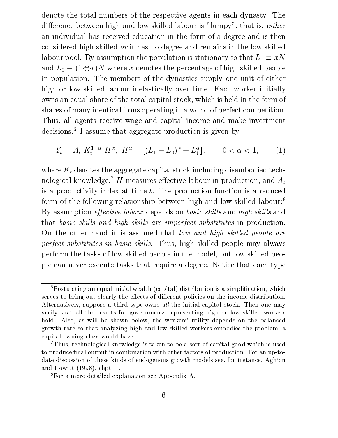denote the total numbers of the respective agents in each dynasty. The difference between high and low skilled labour is "lumpy", that is, either an individual has received education in the form of a degree and is then considered high skilled or it has no degree and remains in the low skilled labour pool. By assumption the population is stationary so that  $L_1 \equiv xN$ and  $L_0 \equiv (1 \Leftrightarrow x)N$  where x denotes the percentage of high skilled people in population. The members of the dynasties supply one unit of either high or low skilled labour inelastically over time. Each worker initially owns an equal share of the total capital stock, which is held in the form of shares of many identical firms operating in a world of perfect competition. Thus, all agents receive wage and capital income and make investment decisions.6 I assume that aggregate production is given by

$$
Y_t = A_t K_t^{1-\alpha} H^{\alpha}, \ H^{\alpha} = \left[ (L_1 + L_0)^{\alpha} + L_1^{\alpha} \right], \qquad 0 < \alpha < 1,\tag{1}
$$

where  $K_t$  denotes the aggregate capital stock including disembodied technological knowledge,<sup>7</sup> H measures effective labour in production, and  $A_t$ is a productivity index at time t. The production function is a reduced form of the following relationship between high and low skilled labour:8 By assumption *effective labour* depends on *basic skills* and *high skills* and that basic skills and high skills are imperfect substitutes in production. On the other hand it is assumed that low and high skilled people are perfect substitutes in basic skills. Thus, high skilled people may always perform the tasks of low skilled people in the model, but low skilled people can never execute tasks that require a degree. Notice that each type

 ${}^{6}$ Postulating an equal initial wealth (capital) distribution is a simplification, which serves to bring out clearly the effects of different policies on the income distribution. Alternatively, suppose a third type owns *all* the initial capital stock. Then one may verify that all the results for governments representing high or low skilled workers hold. Also, as will be shown below, the workers' utility depends on the balanced growth rate so that analyzing high and low skilled workers embodies the problem, a capital owning class would have.

<sup>7</sup>Thus, technological knowledge is taken to be a sort of capital good which is used to produce final output in combination with other factors of production. For an up-todate discussion of these kinds of endogenous growth models see, for instance, Aghion and Howitt (1998), chpt. 1.

<sup>8</sup>For a more detailed explanation see Appendix A.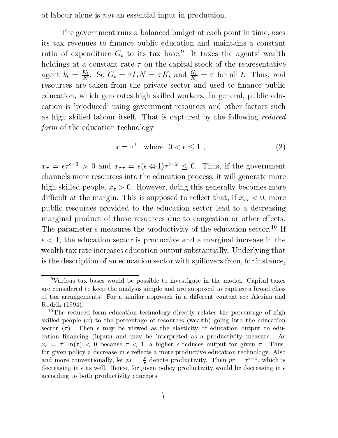of labour alone is not an essential input in production.

The government runs a balanced budget at each point in time, uses its tax revenues to finance public education and maintains a constant ratio of expenditure  $G_t$  to its tax base.<sup>9</sup> It taxes the agents' wealth holdings at a constant rate  $\tau$  on the capital stock of the representative agent  $\kappa_t = \frac{z_t}{N}$ . So  $G_t = \tau \kappa_t / N = \tau \Lambda_t$  and  $\frac{z_t}{K_t} = \tau$  for all t. Thus, real resources are taken from the private sector and used to finance public education, which generates high skilled workers. In general, public education is 'produced' using government resources and other factors such as high skilled labour itself. That is captured by the following reduced form of the education technology

$$
x = \tau^{\epsilon} \quad \text{where} \quad 0 < \epsilon \le 1 \tag{2}
$$

 $x_{\tau} = \epsilon \tau$   $\tau > 0$  and  $x_{\tau \tau} = \epsilon (\epsilon \Leftrightarrow 1) \tau$   $\tau$   $\tau > 0$ . Thus, if the government channels more resources into the education process, it will generate more high skilled people,  $x_{\tau} > 0$ . However, doing this generally becomes more difficult at the margin. This is supposed to reflect that, if  $x_{\tau\tau} < 0$ , more public resources provided to the education sector lead to a decreasing marginal product of those resources due to congestion or other effects. The parameter  $\epsilon$  measures the productivity of the education sector.<sup>10</sup> If  $\epsilon$  < 1, the education sector is productive and a marginal increase in the wealth tax rate increases education output substantially. Underlying that is the description of an education sector with spillovers from, for instance,

<sup>9</sup>Various tax bases would be possible to investigate in the model. Capital taxes are considered to keep the analysis simple and are supposed to capture a broad class of tax arrangements. For a similar approach in a different context see Alesina and Rodrik (1994).

<sup>&</sup>lt;sup>10</sup>The reduced form education technology directly relates the percentage of high skilled people  $(x)$  to the percentage of resources (wealth) going into the education sector  $(\tau)$ . Then  $\epsilon$  may be viewed as the elasticity of education output to education financing (input) and may be interpreted as a productivity measure. As  $x_{\epsilon} = \tau^*$  in( $\tau$ )  $\leq$  0 because  $\tau \leq 1$ , a higher  $\epsilon$  reduces output for given  $\tau$ . Thus, for given policy a decrease in  $\epsilon$  reflects a more productive education technology. Also and more conventionally, let  $pr = \frac{1}{\tau}$  denote productivity. Then  $pr = \tau^*$   $\tau$ , which is decreasing in  $\epsilon$  as well. Hence, for given policy productivity would be decreasing in  $\epsilon$ according to both productivity concepts.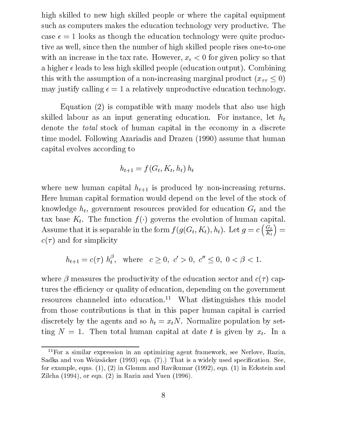high skilled to new high skilled people or where the capital equipment such as computers makes the education technology very productive. The case  $\epsilon = 1$  looks as though the education technology were quite productive as well, since then the number of high skilled people rises one-to-one with an increase in the tax rate. However,  $x_{\epsilon} < 0$  for given policy so that a higher  $\epsilon$  leads to less high skilled people (education output). Combining this with the assumption of a non-increasing marginal product  $(x_{\tau\tau} \leq 0)$ may justify calling  $\epsilon = 1$  a relatively unproductive education technology.

Equation (2) is compatible with many models that also use high skilled labour as an input generating education. For instance, let  $h_t$ denote the total stock of human capital in the economy in a discrete time model. Following Azariadis and Drazen (1990) assume that human capital evolves according to

$$
h_{t+1} = f(G_t, K_t, h_t) h_t
$$

where new human capital  $h_{t+1}$  is produced by non-increasing returns. Here human capital formation would depend on the level of the stock of knowledge  $h_t$ , government resources provided for education  $G_t$  and the tax base  $K_t$ . The function  $f(\cdot)$  governs the evolution of human capital. Assume that it is separable in the form  $f(g(G_t, K_t), h_t)$ . Let  $g = c\left(\frac{G_t}{K_t}\right) =$  $c(\tau)$  and for simplicity

$$
h_{t+1} = c(\tau) h_t^{\beta}
$$
, where  $c \ge 0$ ,  $c' > 0$ ,  $c'' \le 0$ ,  $0 < \beta < 1$ .

where  $\beta$  measures the productivity of the education sector and  $c(\tau)$  captures the efficiency or quality of education, depending on the government resources channeled into education.<sup>11</sup> What distinguishes this model from those contributions is that in this paper human capital is carried discretely by the agents and so  $h_t = x_tN$ . Normalize population by setting  $N = 1$ . Then total human capital at date t is given by  $x_t$ . In a

<sup>11</sup>For a similar expression in an optimizing agent framework, see Nerlove, Razin, Sadka and von Weizsäcker (1993) eqn. (7).) That is a widely used specification. See, for example, eqns. (1), (2) in Glomm and Ravikumar (1992), eqn. (1) in Eckstein and Zilcha (1994), or eqn. (2) in Razin and Yuen (1996).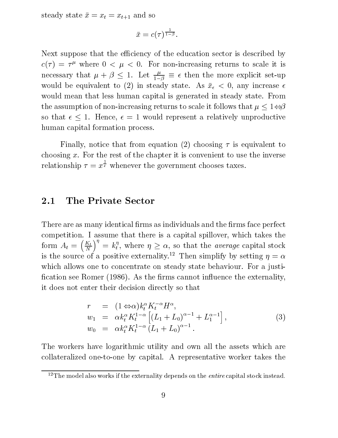steady state  $\bar{x} = x_t = x_{t+1}$  and so

$$
\bar x=c(\tau)^{\frac{1}{1-\beta}}.
$$

Next suppose that the efficiency of the education sector is described by  $c(\tau) = \tau^c$  where  $0 \le \mu \le 0$ . For non-increasing returns to scale it is necessary that  $\mu + \beta \leq 1$ . Let  $\frac{r}{1-\beta} \equiv \epsilon$  then the more explicit set-up would be equivalent to (2) in steady state. As  $\bar{x}_{\epsilon} < 0$ , any increase  $\epsilon$ would mean that less human capital is generated in steady state. From the assumption of non-increasing returns to scale it follows that  $\mu \leq 1 \Leftrightarrow \beta$ so that  $\epsilon \leq 1$ . Hence,  $\epsilon = 1$  would represent a relatively unproductive human capital formation process.

Finally, notice that from equation (2) choosing  $\tau$  is equivalent to choosing  $x$ . For the rest of the chapter it is convenient to use the inverse relationship = x  $\overline{\epsilon}$  whenever the government chooses taxes.

#### The Private Sector 2.1

There are as many identical firms as individuals and the firms face perfect competition. I assume that there is a capital spillover, which takes the for a state  $\mathbf{A}$  and  $\mathbf{A}$  and  $\mathbf{A}$  and  $\mathbf{A}$  are  $\mathbf{A}$  and  $\mathbf{A}$  and  $\mathbf{A}$  are  $\mathbf{A}$  and  $\mathbf{A}$  and  $\mathbf{A}$  are  $\mathbf{A}$  and  $\mathbf{A}$  are  $\mathbf{A}$  and  $\mathbf{A}$  are  $\mathbf{A}$  and  $\mathbf{A}$  are Kt na matangana at ang panganang pangangang pangangang pangangang pangangang pangangang pangangang pangang pangan  $\sqrt{n}$  .  $\mathcal{L} = \mathcal{k}_t^{\, \prime},$  where  $\eta \geq \alpha,$  so that the *average* capital stock is the source of a positive externality.<sup>--</sup> Then simplify by setting  $\eta = \alpha$ which allows one to concentrate on steady state behaviour. For a justification see Romer (1986). As the firms cannot influence the externality, it does not enter their decision directly so that

$$
r = (1 \Leftrightarrow \alpha) k_t^{\alpha} K_t^{-\alpha} H^{\alpha},
$$
  
\n
$$
w_1 = \alpha k_t^{\alpha} K_t^{1-\alpha} \left[ (L_1 + L_0)^{\alpha-1} + L_1^{\alpha-1} \right],
$$
  
\n
$$
w_0 = \alpha k_t^{\alpha} K_t^{1-\alpha} (L_1 + L_0)^{\alpha-1}.
$$
\n(3)

The workers have logarithmic utility and own all the assets which are collateralized one-to-one by capital. A representative worker takes the

<sup>&</sup>lt;sup>12</sup>The model also works if the externality depends on the *entire* capital stock instead.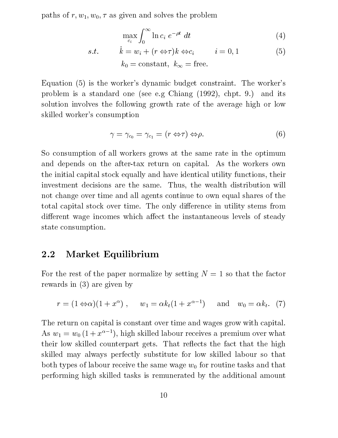paths of  $r, w_1, w_0, \tau$  as given and solves the problem

$$
\max_{c_i} \int_0^\infty \ln c_i \ e^{-\rho t} \ dt \tag{4}
$$

s.t. 
$$
\dot{k} = w_i + (r \Leftrightarrow \tau)k \Leftrightarrow c_i
$$
  $i = 0, 1$  (5)  
 $k_0 = \text{constant}, k_\infty = \text{free}.$ 

Equation (5) is the worker's dynamic budget constraint. The worker's problem is a standard one (see e.g Chiang (1992), chpt. 9.) and its solution involves the following growth rate of the average high or low skilled worker's consumption

$$
\gamma = \gamma_{c_0} = \gamma_{c_1} = (r \Leftrightarrow \tau) \Leftrightarrow \rho. \tag{6}
$$

So consumption of all workers grows at the same rate in the optimum and depends on the after-tax return on capital. As the workers own the initial capital stock equally and have identical utility functions, their investment decisions are the same. Thus, the wealth distribution will not change over time and all agents continue to own equal shares of the total capital stock over time. The only difference in utility stems from different wage incomes which affect the instantaneous levels of steady state consumption.

#### 2.2 Market Equilibrium

For the rest of the paper normalize by setting  $N = 1$  so that the factor rewards in (3) are given by

$$
r = (1 \Leftrightarrow \alpha)(1 + x^{\alpha})
$$
,  $w_1 = \alpha k_t (1 + x^{\alpha - 1})$  and  $w_0 = \alpha k_t$ . (7)

The return on capital is constant over time and wages grow with capital. As  $w_1 = w_0 (1 + x^{\alpha-1})$ , high skilled labour receives a premium over what their low skilled counterpart gets. That reflects the fact that the high skilled may always perfectly substitute for low skilled labour so that both types of labour receive the same wage  $w_0$  for routine tasks and that performing high skilled tasks is remunerated by the additional amount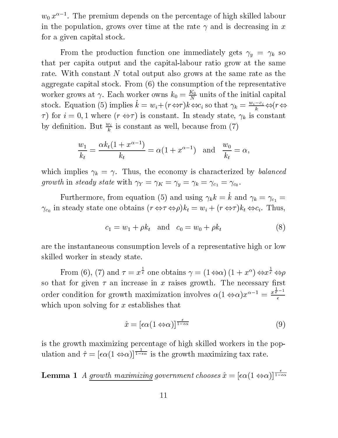$w_0 x$  – . The premium depends on the percentage of high skilled labour in the population, grows over time at the rate  $\gamma$  and is decreasing in x for a given capital stock.

From the production function one immediately gets  $\gamma_y = \gamma_k$  so that per capita output and the capital-labour ratio grow at the same rate. With constant N total output also grows at the same rate as the aggregate capital stock. From (6) the consumption of the representative worker grows at  $\gamma$ . Each worker owns  $\kappa_0 = \frac{\gamma}{N}$  units of the initial capital stock. Equation (5) implies  $k = w_i + (r \Leftrightarrow r)k \Leftrightarrow c_i$  so that  $\gamma_k = \frac{w_i - k}{k} \Leftrightarrow (r \Leftrightarrow$  $\tau$ ) for  $i = 0, 1$  where  $(r \Leftrightarrow \tau)$  is constant. In steady state,  $\gamma_k$  is constant by definition. But  $\frac{m}{k}$  is constant as well, because from (*i*)

$$
\frac{w_1}{k_t} = \frac{\alpha k_t (1 + x^{\alpha - 1})}{k_t} = \alpha (1 + x^{\alpha - 1}) \text{ and } \frac{w_0}{k_t} = \alpha,
$$

which implies  $\gamma_k = \gamma$ . Thus, the economy is characterized by *balanced*  $\mathcal{G}$  , where  $\mathcal{G}$  is the steady state with  $\mathcal{G}$  and  $\mathcal{G}$  is the  $\mathcal{G}$  state  $\mathcal{G}$  is the steady of  $\mathcal{G}$ 

Furthermore, from equation (5) and using  $\gamma_k k = \dot{k}$  and  $\gamma_k = \gamma_{c_1} =$ in state one of the obtains one obtains (received the  $\mu$  )  $\mu$  ,  $\mu$  and  $\mu$  and  $\mu$  is the  $\mu$  -  $\mu$  -  $\mu$  -  $\mu$  -  $\mu$  -  $\mu$ 

$$
c_1 = w_1 + \rho k_t
$$
 and  $c_0 = w_0 + \rho k_t$  (8)

are the instantaneous consumption levels of a representative high or low skilled worker in steady state.

From (6), (7) and = x  $\bar{t}$  one obtains  $\gamma = (1 \Leftrightarrow \alpha) (1 + x^{\alpha}) \Leftrightarrow x \bar{t} \Leftrightarrow \rho$  $\bar{t} \Leftrightarrow \rho$ so that for given  $\tau$  an increase in x raises growth. The necessary first order condition for growth maximization involves  $\alpha(1 \Leftrightarrow \alpha)x^{\alpha-1} = \frac{x^{\frac{1}{\epsilon}-1}}{x}$ which upon solving for  $x$  establishes that

$$
\hat{x} = \left[\epsilon \alpha (1 \Leftrightarrow \alpha)\right]^{\frac{\epsilon}{1 - \epsilon \alpha}}\tag{9}
$$

is the growth maximizing percentage of high skilled workers in the pop- $\blacksquare$  $\frac{1-\epsilon\alpha}{\epsilon}$  is the growth maximizing tax rate.

 $\blacksquare$  . The contract matrix chooses  $q$  ,  $\blacksquare$  . The choose  $\blacksquare$  (1  $\blacksquare$  )]]  $\frac{1}{1-\epsilon\alpha}$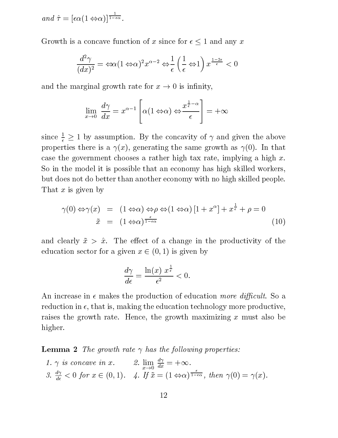$and \hat{\tau} = [\epsilon \alpha (1 \Leftrightarrow \alpha)]^{\frac{1}{1-\epsilon \alpha}}.$ 

Growth is a concave function of x since for  $\epsilon \leq 1$  and any x

$$
\frac{d^2\gamma}{(dx)^2} = \Leftrightarrow \alpha (1 \Leftrightarrow \alpha)^2 x^{\alpha - 2} \Leftrightarrow \frac{1}{\epsilon} \left(\frac{1}{\epsilon} \Leftrightarrow 1\right) x^{\frac{1 - 2\epsilon}{\epsilon}} < 0
$$

and the marginal growth rate for  $x \to 0$  is infinity,

$$
\lim_{x \to 0} \frac{d\gamma}{dx} = x^{\alpha - 1} \left[ \alpha(1 \Leftrightarrow \alpha) \Leftrightarrow \frac{x^{\frac{1}{\epsilon} - \alpha}}{\epsilon} \right] = +\infty
$$

since  $\frac{1}{\epsilon} \geq 1$  by assumption. By the concavity of  $\gamma$  and given the above properties there is a  $\gamma(x)$ , generating the same growth as  $\gamma(0)$ . In that case the government chooses a rather high tax rate, implying a high  $x$ . So in the model it is possible that an economy has high skilled workers, but does not do better than another economy with no high skilled people. That  $x$  is given by

$$
\gamma(0) \Leftrightarrow \gamma(x) = (1 \Leftrightarrow \alpha) \Leftrightarrow \rho \Leftrightarrow (1 \Leftrightarrow \alpha) [1 + x^{\alpha}] + x^{\frac{1}{\epsilon}} + \rho = 0
$$
  

$$
\tilde{x} = (1 \Leftrightarrow \alpha)^{\frac{\epsilon}{1 - \epsilon \alpha}}
$$
 (10)

and clearly  $\tilde{x} > \hat{x}$ . The effect of a change in the productivity of the education sector for a given  $x \in (0, 1)$  is given by

$$
\frac{d\gamma}{d\epsilon} = \frac{\ln(x) \; x^{\frac{1}{\epsilon}}}{\epsilon^2} < 0.
$$

An increase in  $\epsilon$  makes the production of education more difficult. So a reduction in  $\epsilon$ , that is, making the education technology more productive, raises the growth rate. Hence, the growth maximizing x must also be higher.

**Lemma 2** The growth rate  $\gamma$  has the following properties:

1. 
$$
\gamma
$$
 is concave in x. 2.  $\lim_{x \to 0} \frac{d\gamma}{dx} = +\infty$ .  
3.  $\frac{d\gamma}{d\epsilon} < 0$  for  $x \in (0, 1)$ . 4. If  $\tilde{x} = (1 \Leftrightarrow \alpha)^{\frac{\epsilon}{1 - \epsilon \alpha}}$ , then  $\gamma(0) = \gamma(x)$ .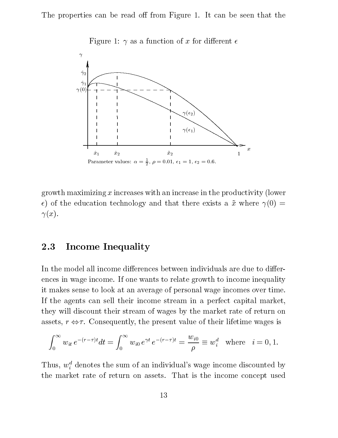The properties can be read off from Figure 1. It can be seen that the



Figure 1:  $\gamma$  as a function of x for different  $\epsilon$ 

growth maximizing  $x$  increases with an increase in the productivity (lower  $\epsilon$ ) of the education technology and that there exists a  $\tilde{x}$  where  $\gamma(0)$  =  $\gamma(x)$ .

#### 2.3 **Income Inequality**

In the model all income differences between individuals are due to differences in wage income. If one wants to relate growth to income inequality it makes sense to look at an average of personal wage incomes over time. If the agents can sell their income stream in a perfect capital market, they will discount their stream of wages by the market rate of return on assets,  $r \Leftrightarrow \tau$ . Consequently, the present value of their lifetime wages is

$$
\int_0^\infty w_{it} e^{-(r-\tau)t} dt = \int_0^\infty w_{i0} e^{\gamma t} e^{-(r-\tau)t} = \frac{w_{i0}}{\rho} \equiv w_i^d \text{ where } i = 0, 1.
$$

Thus,  $w_i^d$  denotes the sum of an individual's wage income discounted by the market rate of return on assets. That is the income concept used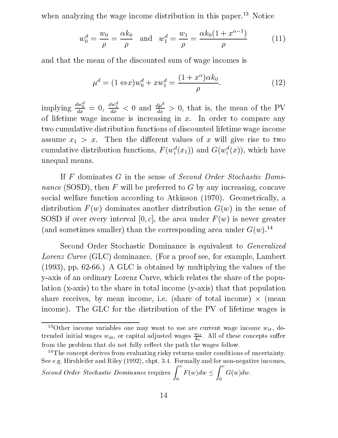when analyzing the wage income distribution in this paper.<sup>13</sup> Notice

$$
w_0^d = \frac{w_0}{\rho} = \frac{\alpha k_0}{\rho} \quad \text{and} \quad w_1^d = \frac{w_1}{\rho} = \frac{\alpha k_0 (1 + x^{\alpha - 1})}{\rho} \tag{11}
$$

and that the mean of the discounted sum of wage incomes is

$$
\mu^d = (1 \Leftrightarrow x)w_0^d + xw_1^d = \frac{(1+x^{\alpha})\alpha k_0}{\rho}.\tag{12}
$$

implying  $\frac{dw_0^2}{dx} = 0$ ,  $\frac{dw_1^2}{dx} < 0$  and  $\frac{d\mu^u}{dx} > 0$ , that is, the mean of the PV of lifetime wage income is increasing in  $x$ . In order to compare any two cumulative distribution functions of discounted lifetime wage income assume  $x_1 > x$ . Then the different values of x will give rise to two cumulative distribution functions,  $F(w_i(x_1))$  and  $G(w_i(x))$ , which have unequal means.

If F dominates G in the sense of Second Order Stochastic Domi*nance* (SOSD), then  $F$  will be preferred to  $G$  by any increasing, concave social welfare function according to Atkinson (1970). Geometrically, a distribution  $F(w)$  dominates another distribution  $G(w)$  in the sense of SOSD if over every interval [0, c], the area under  $F(w)$  is never greater (and sometimes smaller) than the corresponding area under  $G(w)$ .<sup>14</sup>

Second Order Stochastic Dominance is equivalent to *Generalized* Lorenz Curve (GLC) dominance. (For a proof see, for example, Lambert (1993), pp. 62-66.) A GLC is obtained by multiplying the values of the y-axis of an ordinary Lorenz Curve, which relates the share of the population (x-axis) to the share in total income (y-axis) that that population share receives, by mean income, i.e. (share of total income) - (mean income). The GLC for the distribution of the PV of lifetime wages is

<sup>&</sup>lt;sup>13</sup>Other income variables one may want to use are current wage income  $w_{it}$ , detrended initial wages  $w_{i0}$ , or capital adjusted wages  $\frac{u_i}{k_t}$ . All of these concepts suffer from the problem that do not fully reflect the path the wages follow.

<sup>&</sup>lt;sup>14</sup>The concept derives from evaluating risky returns under conditions of uncertainty. See e.g. Hirshleifer and Riley (1992), chpt. 3.4. Formally and for non-negative incomes,  $\mathcal{C}$  contracts the contract of  $\mathcal{C}$ 

Second Order Stochastic Dominance requires  $\int_{0}^{c} F(w) dw < \int_{0}^{c} G(w) dw$ .  $\mathbb{C}^n$  (where  $\mathbb{C}^n$  are  $\mathbb{C}^n$  and  $\mathbb{C}^n$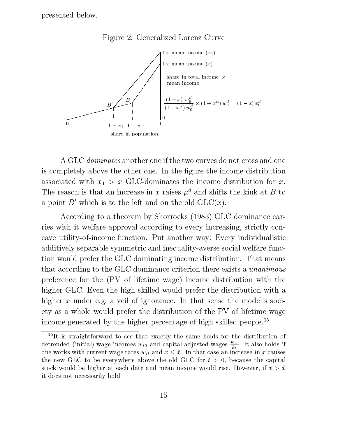presented below.



Figure 2: Generalized Lorenz Curve

A GLC  $dominates$  another one if the two curves do not cross and one is completely above the other one. In the figure the income distribution associated with  $x_1 > x$  GLC-dominates the income distribution for x. The reason is that an increase in x raises  $\mu^d$  and shifts the kink at B to a point  $B'$  which is to the left and on the old  $GLC(x)$ .

According to a theorem by Shorrocks (1983) GLC dominance carries with it welfare approval according to every increasing, strictly concave utility-of-income function. Put another way: Every individualistic additively separable symmetric and inequality-averse social welfare function would prefer the GLC dominating income distribution. That means that according to the GLC dominance criterion there exists a unanimous preference for the (PV of lifetime wage) income distribution with the higher GLC. Even the high skilled would prefer the distribution with a higher x under e.g. a veil of ignorance. In that sense the model's society as a whole would prefer the distribution of the PV of lifetime wage income generated by the higher percentage of high skilled people.<sup>15</sup>

<sup>&</sup>lt;sup>15</sup>It is straightforward to see that exactly the same holds for the distribution of detrended (initial) wage incomes  $w_{i0}$  and capital adjusted wages  $\frac{w_{i}}{k_{t}}$ . It also holds if one works with current wage rates  $w_{it}$  and  $x \leq \hat{x}$ . In that case an increase in x causes the new GLC to be everywhere above the old GLC for  $t > 0$ , because the capital stock would be higher at each date and mean income would rise. However, if  $x > \hat{x}$ it does not necessarily hold.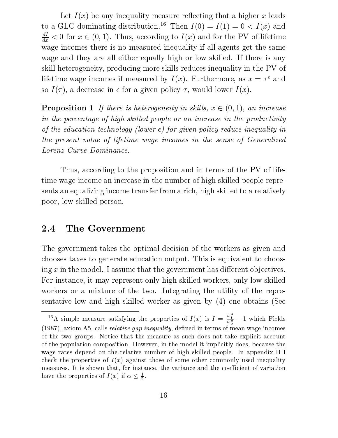Let  $I(x)$  be any inequality measure reflecting that a higher x leads to a GLC dominating distribution.<sup>16</sup> Then  $I(0) = I(1) = 0 < I(x)$  and  $\overline{dx}$   $\leq$  0 for  $x \in (0,1)$ . Thus, according to  $I(x)$  and for the PV of lifetime wage incomes there is no measured inequality if all agents get the same wage and they are all either equally high or low skilled. If there is any skill heterogeneity, producing more skills reduces inequality in the PV of inetime wage incomes if measured by  $I(x)$ . Furthermore, as  $x = \tau$  and so  $I(\tau)$ , a decrease in  $\epsilon$  for a given policy  $\tau$ , would lower  $I(x)$ .

**Proposition 1** If there is heterogeneity in skills,  $x \in (0, 1)$ , an increase in the percentage of high skilled people or an increase in the productivity of the education technology (lower  $\epsilon$ ) for given policy reduce inequality in the present value of lifetime wage incomes in the sense of Generalized Lorenz Curve Dominance.

Thus, according to the proposition and in terms of the PV of lifetime wage income an increase in the number of high skilled people represents an equalizing income transfer from a rich, high skilled to a relatively poor, low skilled person.

### 2.4 The Government

The government takes the optimal decision of the workers as given and chooses taxes to generate education output. This is equivalent to choosing  $x$  in the model. I assume that the government has different objectives. For instance, it may represent only high skilled workers, only low skilled workers or a mixture of the two. Integrating the utility of the representative low and high skilled worker as given by (4) one obtains (See

<sup>&</sup>lt;sup>16</sup>A simple measure satisfying the properties of  $I(x)$  is  $I = \frac{w_1}{w_0^d} - 1$  which Fields  $(1987)$ , axiom A5, calls *relative gap inequality*, defined in terms of mean wage incomes of the two groups. Notice that the measure as such does not take explicit account of the population composition. However, in the model it implicitly does, because the wage rates depend on the relative number of high skilled people. In appendix B I check the properties of  $I(x)$  against those of some other commonly used inequality measures. It is shown that, for instance, the variance and the coefficient of variation have the properties of  $I(x)$  if  $\alpha \leq \frac{1}{2}$ .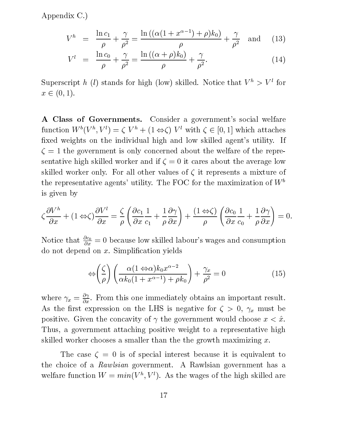Appendix C.)

$$
V^{h} = \frac{\ln c_1}{\rho} + \frac{\gamma}{\rho^2} = \frac{\ln ((\alpha(1 + x^{\alpha - 1}) + \rho)k_0)}{\rho} + \frac{\gamma}{\rho^2} \text{ and } (13)
$$

$$
V^{l} = \frac{\ln c_0}{\rho} + \frac{\gamma}{\rho^2} = \frac{\ln ((\alpha + \rho)k_0)}{\rho} + \frac{\gamma}{\rho^2}.
$$
 (14)

Superscript h (l) stands for high (low) skilled. Notice that  $V^h > V^l$  for  $x \in (0, 1).$ 

A Class of Governments. Consider a government's social welfare function  $W^+(V^-, V^+) = \zeta^+ V^+ + \zeta^+ \Leftrightarrow \zeta^+ V^-$  with  $\zeta^+ \in [0, 1]$  which attaches xed weights on the individual high and low skilled agent's utility. If  $\zeta = 1$  the government is only concerned about the welfare of the representative high skilled worker and if  $\zeta = 0$  it cares about the average low skilled worker only. For all other values of  $\zeta$  it represents a mixture of the representative agents' utility. The FOC for the maximization of  $W^b$ is given by

$$
\zeta \frac{\partial V^h}{\partial x} + (1 \Leftrightarrow \zeta) \frac{\partial V^l}{\partial x} = \frac{\zeta}{\rho} \left( \frac{\partial c_1}{\partial x} \frac{1}{c_1} + \frac{1}{\rho} \frac{\partial \gamma}{\partial x} \right) + \frac{(1 \Leftrightarrow \zeta)}{\rho} \left( \frac{\partial c_0}{\partial x} \frac{1}{c_0} + \frac{1}{\rho} \frac{\partial \gamma}{\partial x} \right) = 0.
$$

Notice that  $\frac{\partial c_0}{\partial x} = 0$  because low skilled labour's wages and consumption do not depend on x. Simplication yields

$$
\Leftrightarrow \left(\frac{\zeta}{\rho}\right) \left(\frac{\alpha(1 \Leftrightarrow \alpha)k_0 x^{\alpha - 2}}{\alpha k_0 (1 + x^{\alpha - 1}) + \rho k_0}\right) + \frac{\gamma_x}{\rho^2} = 0 \tag{15}
$$

where  $\gamma_x = \frac{1}{\partial x}$ . From this one immediately obtains an important result. As the first expression on the LHS is negative for  $\zeta > 0$ ,  $\gamma_x$  must be positive. Given the concavity of  $\gamma$  the government would choose  $x < \hat{x}$ . Thus, a government attaching positive weight to a representative high skilled worker chooses a smaller than the the growth maximizing  $x$ .

The case  $\zeta = 0$  is of special interest because it is equivalent to the choice of a Rawlsian government. A Rawlsian government has a welfare function  $W = min(V_-, V_+)$ . As the wages of the high skilled are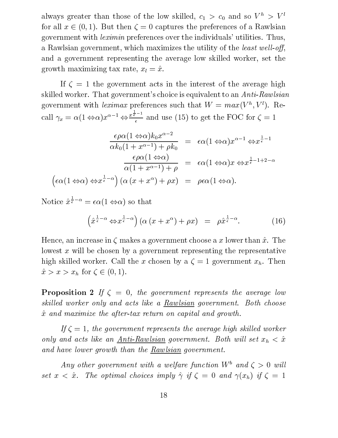always greater than those of the low skilled,  $c_1 > c_0$  and so  $V^h > V^l$ for all  $x \in (0, 1)$ . But then  $\zeta = 0$  captures the preferences of a Rawlsian government with leximin preferences over the individuals' utilities. Thus, a Rawlsian government, which maximizes the utility of the *least well-off*, and a government representing the average low skilled worker, set the growth maximizing tax rate,  $x_l = \hat{x}$ .

If  $\zeta = 1$  the government acts in the interest of the average high skilled worker. That government's choice is equivalent to an Anti-Rawlsian government with *textmax* preferences such that  $W = \max(V^*, V^*),$  Recall  $\gamma_x = \alpha (1 \Leftrightarrow \alpha) x^{\alpha - 1} \Leftrightarrow \frac{x^{\frac{1}{\epsilon} - 1}}{\epsilon}$  and use  $\epsilon$  (15) to get the  $\epsilon$ 

$$
\frac{\epsilon \rho \alpha (1 \Leftrightarrow \alpha) k_0 x^{\alpha - 2}}{\alpha k_0 (1 + x^{\alpha - 1}) + \rho k_0} = \epsilon \alpha (1 \Leftrightarrow \alpha) x^{\alpha - 1} \Leftrightarrow x^{\frac{1}{\epsilon} - 1}
$$

$$
\frac{\epsilon \rho \alpha (1 \Leftrightarrow \alpha)}{\alpha (1 + x^{\alpha - 1}) + \rho} = \epsilon \alpha (1 \Leftrightarrow \alpha) x \Leftrightarrow x^{\frac{1}{\epsilon} - 1 + 2 - \alpha}
$$

$$
\left(\epsilon \alpha (1 \Leftrightarrow \alpha) \Leftrightarrow x^{\frac{1}{\epsilon} - \alpha}\right) \left(\alpha (x + x^{\alpha}) + \rho x\right) = \rho \epsilon \alpha (1 \Leftrightarrow \alpha).
$$

 $\bar{\epsilon}^{-\alpha} = \epsilon \alpha (1 \Leftrightarrow \alpha)$  so that

$$
\left(\hat{x}^{\frac{1}{\epsilon}-\alpha} \Leftrightarrow x^{\frac{1}{\epsilon}-\alpha}\right) \left(\alpha\left(x+x^{\alpha}\right)+\rho x\right) = \rho \hat{x}^{\frac{1}{\epsilon}-\alpha}.\tag{16}
$$

Hence, an increase in  $\zeta$  makes a government choose a x lower than  $\hat{x}$ . The lowest  $x$  will be chosen by a government representing the representative high skilled worker. Call the x chosen by a  $\zeta = 1$  government  $x_h$ . Then  $\hat{x} > x > x_h$  for  $\zeta \in (0, 1)$ .

**Proposition 2** If  $\zeta = 0$ , the government represents the average low skilled worker only and acts like a Rawlsian government. Both choose  $\hat{x}$  and maximize the after-tax return on capital and growth.

If  $\zeta = 1$ , the government represents the average high skilled worker only and acts like an  $Anti-Rawlsian government. Both will set  $x_h < \hat{x}$$ </u> and have lower growth than the Rawlsian government.

Any other government with a welfare function  $W^b$  and  $\zeta > 0$  will set  $x < \hat{x}$ . The optimal choices imply  $\hat{\gamma}$  if  $\zeta = 0$  and  $\gamma(x_h)$  if  $\zeta = 1$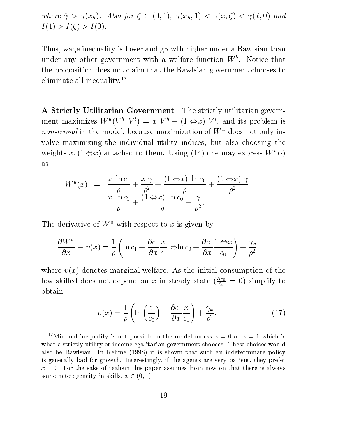where  $\hat{\gamma} > \gamma(x_h)$ . Also for  $\zeta \in (0, 1)$ ,  $\gamma(x_h, 1) < \gamma(x, \zeta) < \gamma(\hat{x}, 0)$  and  $I(1) > I(\zeta) > I(0).$ 

Thus, wage inequality is lower and growth higher under a Rawlsian than under any other government with a welfare function W<sup>b</sup> . Notice that the proposition does not claim that the Rawlsian government chooses to eliminate all inequality.<sup>17</sup>

A Strictly Utilitarian Government The strictly utilitarian government maximizes  $W^+(V^+, V^+) = x^+V^+ + (1 \Leftrightarrow x^+)^-V^+$ , and its problem is non-trivial in the model, because maximization of  $W^u$  does not only involve maximizing the individual utility indices, but also choosing the weights  $x$ ,  $1 \Leftrightarrow x$  attached to them. Using (14) one may express W ( $\cdot$ ) as

$$
W^{u}(x) = \frac{x \ln c_1}{\rho} + \frac{x \gamma}{\rho^{2}} + \frac{(1 \Leftrightarrow x) \ln c_0}{\rho} + \frac{(1 \Leftrightarrow x) \gamma}{\rho^{2}}
$$
  
= 
$$
\frac{x \ln c_1}{\rho} + \frac{(1 \Leftrightarrow x) \ln c_0}{\rho} + \frac{\gamma}{\rho^{2}}.
$$

The derivative of  $W^u$  with respect to x is given by

$$
\frac{\partial W^u}{\partial x} \equiv v(x) = \frac{1}{\rho} \left( \ln c_1 + \frac{\partial c_1}{\partial x} \frac{x}{c_1} \Leftrightarrow \ln c_0 + \frac{\partial c_0}{\partial x} \frac{1 \Leftrightarrow x}{c_0} \right) + \frac{\gamma_x}{\rho^2}
$$

where  $v(x)$  denotes marginal welfare. As the initial consumption of the low skilled does not depend on x in steady state  $(\frac{\partial \alpha}{\partial x} = 0)$  simplify to obtain

$$
v(x) = \frac{1}{\rho} \left( \ln \left( \frac{c_1}{c_0} \right) + \frac{\partial c_1}{\partial x} \frac{x}{c_1} \right) + \frac{\gamma_x}{\rho^2}.
$$
 (17)

<sup>&</sup>lt;sup>17</sup>Minimal inequality is not possible in the model unless  $x = 0$  or  $x = 1$  which is what a strictly utility or income egalitarian government chooses. These choices would also be Rawlsian. In Rehme (1998) it is shown that such an indeterminate policy is generally bad for growth. Interestingly, if the agents are very patient, they prefer  $x = 0$ . For the sake of realism this paper assumes from now on that there is always some heterogeneity in skills,  $x \in (0, 1)$ .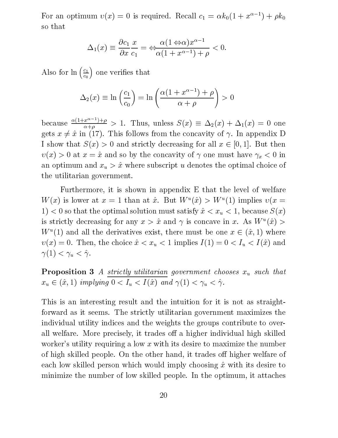For an optimum  $v(x) = 0$  is required. Recall  $c_1 = \alpha k_0(1 + x^{\alpha-1}) + \rho k_0$ so that

$$
\Delta_1(x) \equiv \frac{\partial c_1}{\partial x} \frac{x}{c_1} = \Leftrightarrow \frac{\alpha (1 \Leftrightarrow \alpha) x^{\alpha - 1}}{\alpha (1 + x^{\alpha - 1}) + \rho} < 0.
$$

Also for  $\ln(\frac{c_1}{c})$  one  $\left(\frac{c_1}{c_0}\right)$  one verifies that

$$
\Delta_2(x) \equiv \ln\left(\frac{c_1}{c_0}\right) = \ln\left(\frac{\alpha(1 + x^{\alpha - 1}) + \rho}{\alpha + \rho}\right) > 0
$$

because  $\frac{\alpha(1+x-1)+\beta}{\alpha(1+x-1)} > 1$ .  $\alpha + \beta$  . Thus, we have so that  $\alpha$  (x)  $\alpha$   $\beta$  (x)  $\beta$  and  $\alpha$ gets  $x \neq \hat{x}$  in (17). This follows from the concavity of  $\gamma$ . In appendix D I show that  $S(x) > 0$  and strictly decreasing for all  $x \in [0, 1]$ . But then  $v(x) > 0$  at  $x = \hat{x}$  and so by the concavity of  $\gamma$  one must have  $\gamma_x < 0$  in an optimum and  $x_u > \hat{x}$  where subscript u denotes the optimal choice of the utilitarian government.

Furthermore, it is shown in appendix E that the level of welfare W  $(x)$  is lower at  $x = 1$  than at x. But W  $(x) > W$  (1) implies  $v(x =$ 1)  $< 0$  so that the optimal solution must satisfy  $\hat{x} < x_u < 1$ , because  $S(x)$ is strictly decreasing for any  $x > x$  and  $\gamma$  is concave in x. As W  $(x) >$  $W^{\pm}(1)$  and all the derivatives exist, there must be one  $x \in (x, 1)$  where  $v(x) = 0$ . Then, the choice  $\hat{x} < x_u < 1$  implies  $I (1) = 0 < I_u < I (\hat{x})$  and  $\gamma(1) < \gamma_u < \hat{\gamma}.$ 

**Proposition 3** A strictly utilitarian government chooses  $x_u$  such that  $x_u \in (\hat{x}, 1)$  implying  $0 < I_u < I(\hat{x})$  and  $\gamma(1) < \gamma_u < \hat{\gamma}$ .<br>This is an interesting result and the intuition for it is not as straight-

forward as it seems. The strictly utilitarian government maximizes the individual utility indices and the weights the groups contribute to overall welfare. More precisely, it trades off a higher individual high skilled worker's utility requiring a low x with its desire to maximize the number of high skilled people. On the other hand, it trades off higher welfare of each low skilled person which would imply choosing  $\hat{x}$  with its desire to minimize the number of low skilled people. In the optimum, it attaches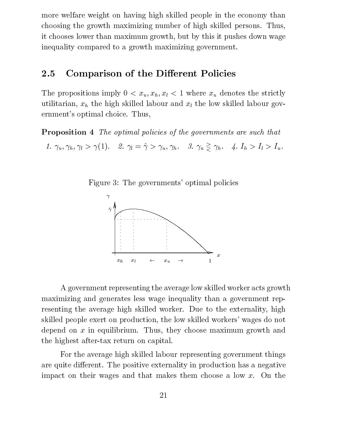more welfare weight on having high skilled people in the economy than choosing the growth maximizing number of high skilled persons. Thus, it chooses lower than maximum growth, but by this it pushes down wage inequality compared to a growth maximizing government.

### 2.5 Comparison of the Different Policies

The propositions imply  $0 < x_u, x_h, x_l < 1$  where  $x_u$  denotes the strictly utilitarian,  $x_h$  the high skilled labour and  $x_l$  the low skilled labour government's optimal choice. Thus,

**Proposition 4** The optimal policies of the governments are such that

1.  $\gamma_u, \gamma_h, \gamma_l > \gamma(1)$ . 2.  $\gamma_l = \hat{\gamma} > \gamma_u, \gamma_h$ . 3.  $\gamma_u \geq \gamma_h$ . 4.  $I_h > I_l > I_u$ .

Figure 3: The governments' optimal policies



A government representing the average low skilled worker acts growth maximizing and generates less wage inequality than a government representing the average high skilled worker. Due to the externality, high skilled people exert on production, the low skilled workers' wages do not depend on  $x$  in equilibrium. Thus, they choose maximum growth and the highest after-tax return on capital.

For the average high skilled labour representing government things are quite different. The positive externality in production has a negative impact on their wages and that makes them choose a low x. On the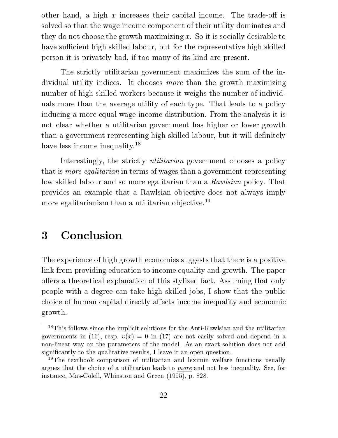other hand, a high x increases their capital income. The trade-off is solved so that the wage income component of their utility dominates and they do not choose the growth maximizing x. So it is socially desirable to have sufficient high skilled labour, but for the representative high skilled person it is privately bad, if too many of its kind are present.

The strictly utilitarian government maximizes the sum of the individual utility indices. It chooses more than the growth maximizing number of high skilled workers because it weighs the number of individuals more than the average utility of each type. That leads to a policy inducing a more equal wage income distribution. From the analysis it is not clear whether a utilitarian government has higher or lower growth than a government representing high skilled labour, but it will definitely have less income inequality.<sup>18</sup>

Interestingly, the strictly *utilitarian* government chooses a policy that is more egalitarian in terms of wages than a government representing low skilled labour and so more egalitarian than a Rawlsian policy. That provides an example that a Rawlsian objective does not always imply more egalitarianism than a utilitarian objective.<sup>19</sup>

#### **Conclusion** 3

The experience of high growth economies suggests that there is a positive link from providing education to income equality and growth. The paper offers a theoretical explanation of this stylized fact. Assuming that only people with a degree can take high skilled jobs, I show that the public choice of human capital directly affects income inequality and economic growth.

<sup>&</sup>lt;sup>18</sup>This follows since the implicit solutions for the Anti-Rawlsian and the utilitarian governments in (16), resp.  $v(x) = 0$  in (17) are not easily solved and depend in a non-linear way on the parameters of the model. As an exact solution does not add signicantly to the qualitative results, I leave it an open question.

<sup>&</sup>lt;sup>19</sup>The textbook comparison of utilitarian and leximin welfare functions usually argues that the choice of <sup>a</sup> utilitarian leads to more and not less inequality. See, for instance, Mas-Colell, Whinston and Green (1995), p. 828.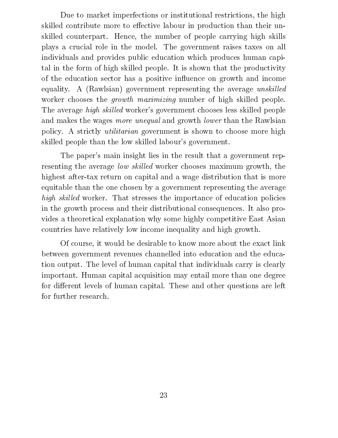Due to market imperfections or institutional restrictions, the high skilled contribute more to effective labour in production than their unskilled counterpart. Hence, the number of people carrying high skills plays a crucial role in the model. The government raises taxes on all individuals and provides public education which produces human capital in the form of high skilled people. It is shown that the productivity of the education sector has a positive influence on growth and income equality. A (Rawlsian) government representing the average unskilled worker chooses the *growth maximizing* number of high skilled people. The average *high skilled* worker's government chooses less skilled people and makes the wages *more unequal* and growth *lower* than the Rawlsian policy. A strictly utilitarian government is shown to choose more high skilled people than the low skilled labour's government.

The paper's main insight lies in the result that a government representing the average low skilled worker chooses maximum growth, the highest after-tax return on capital and a wage distribution that is more equitable than the one chosen by a government representing the average high skilled worker. That stresses the importance of education policies in the growth process and their distributional consequences. It also provides a theoretical explanation why some highly competitive East Asian countries have relatively low income inequality and high growth.

Of course, it would be desirable to know more about the exact link between government revenues channelled into education and the education output. The level of human capital that individuals carry isclearly important. Human capital acquisition may entail more than one degree for different levels of human capital. These and other questions are left for further research.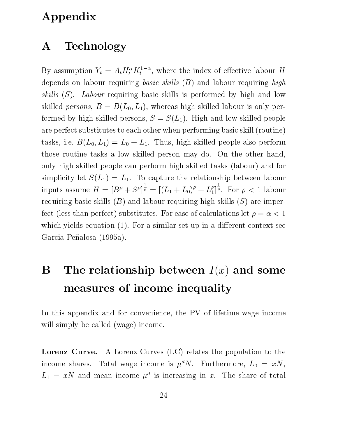## Appendix

## A Technology

By assumption  $Y_t = A_t H_t^T \Lambda_t$ , where the index of effective labour H depends on labour requiring *basic skills*  $(B)$  and labour requiring *high* skills  $(S)$ . Labour requiring basic skills is performed by high and low skilled *persons*,  $B = B(L_0, L_1)$ , whereas high skilled labour is only performed by high skilled persons,  $S = S(L_1)$ . High and low skilled people are perfect substitutes to each other when performing basic skill (routine) tasks, i.e.  $B(L_0, L_1) = L_0 + L_1$ . Thus, high skilled people also perform those routine tasks a low skilled person may do. On the other hand, only high skilled people can perform high skilled tasks (labour) and for simplicity let  $S(L_1) = L_1$ . To capture the relationship between labour inputs assume  $H = |D' + S'|^p = |(L_1 + L_2)|^p$  $\bar{\bar{P}} = [(L_1 + L_0)^{\rho} + L_1^{\rho}]^{\bar{\rho}}$ . For  $\rho$ .  $\frac{1}{\rho}$ . For  $\rho < 1$  labour requiring basic skills  $(B)$  and labour requiring high skills  $(S)$  are imperfect (less than perfect) substitutes. For ease of calculations let  $\rho = \alpha < 1$ which yields equation  $(1)$ . For a similar set-up in a different context see Garcia-Peñalosa (1995a).

### The relationship between  $I(x)$  and some B measures of income inequality

In this appendix and for convenience, the PV of lifetime wage income will simply be called (wage) income.

Lorenz Curve. A Lorenz Curves (LC) relates the population to the income shares. Total wage income is  $\mu^d N$ . Furthermore,  $L_0 = xN$ ,  $L_1 = xN$  and mean income  $\mu$  is increasing in x. The share of total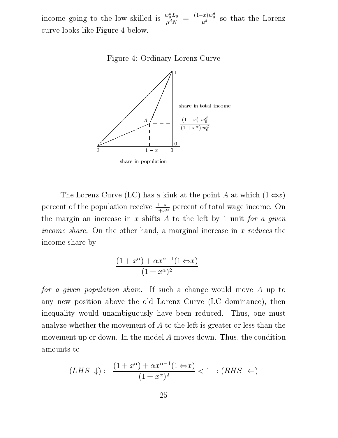income going to the low skilled is  $\frac{w_0 L_0}{\mu^d N} = \frac{(1-x)w_0}{\mu^d}$  so that the Lorenz curve looks like Figure 4 below.

Figure 4: Ordinary Lorenz Curve



share in population

The Lorenz Curve (LC) has a kink at the point A at which  $(1 \Leftrightarrow x)$ percent of the population receive  $\frac{1}{1+x^{\alpha}}$  percent of total wage income. On the margin an increase in x shifts A to the left by 1 unit for a given income share. On the other hand, a marginal increase in x reduces the income share by

$$
\frac{(1+x^{\alpha})+\alpha x^{\alpha-1}(1 \Leftrightarrow x)}{(1+x^{\alpha})^2}
$$

for a given population share. If such a change would move A up to any new position above the old Lorenz Curve (LC dominance), then inequality would unambiguously have been reduced. Thus, one must analyze whether the movement of A to the left is greater or less than the movement up or down. In the model A moves down. Thus, the condition amounts to

$$
(LHS \downarrow): \frac{(1+x^{\alpha}) + \alpha x^{\alpha-1}(1 \Leftrightarrow x)}{(1+x^{\alpha})^2} < 1 \quad : (RHS \leftarrow)
$$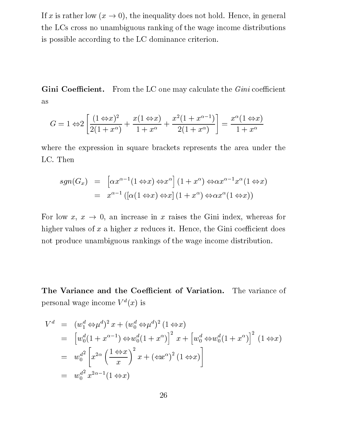If x is rather low  $(x \to 0)$ , the inequality does not hold. Hence, in general the LCs cross no unambiguous ranking of the wage income distributions is possible according to the LC dominance criterion.

**Gini Coefficient.** From the LC one may calculate the *Gini* coefficient as

$$
G = 1 \Leftrightarrow 2\left[\frac{(1 \Leftrightarrow x)^2}{2(1 + x^{\alpha})} + \frac{x(1 \Leftrightarrow x)}{1 + x^{\alpha}} + \frac{x^2(1 + x^{\alpha - 1})}{2(1 + x^{\alpha})}\right] = \frac{x^{\alpha}(1 \Leftrightarrow x)}{1 + x^{\alpha}}
$$

where the expression in square brackets represents the area under the LC. Then

$$
sgn(G_x) = \left[ \alpha x^{\alpha - 1} (1 \Leftrightarrow x) \Leftrightarrow x^{\alpha} \right] (1 + x^{\alpha}) \Leftrightarrow \alpha x^{\alpha - 1} x^{\alpha} (1 \Leftrightarrow x)
$$
  
=  $x^{\alpha - 1} \left( \left[ \alpha (1 \Leftrightarrow x) \Leftrightarrow x \right] (1 + x^{\alpha}) \Leftrightarrow \alpha x^{\alpha} (1 \Leftrightarrow x) \right)$ 

For low  $x, x \to 0$ , an increase in x raises the Gini index, whereas for higher values of  $x$  a higher  $x$  reduces it. Hence, the Gini coefficient does not produce unambiguous rankings of the wage income distribution.

The Variance and the Coefficient of Variation. The variance of personal wage income  $V^d(x)$  is

$$
V^d = (w_1^d \Leftrightarrow \mu^d)^2 x + (w_0^d \Leftrightarrow \mu^d)^2 (1 \Leftrightarrow x)
$$
  
\n
$$
= [w_0^d (1 + x^{\alpha - 1}) \Leftrightarrow w_0^d (1 + x^{\alpha})]^2 x + [w_0^d \Leftrightarrow w_0^d (1 + x^{\alpha})]^2 (1 \Leftrightarrow x)
$$
  
\n
$$
= w_0^{d^2} \left[ x^{2\alpha} \left( \frac{1 \Leftrightarrow x}{x} \right)^2 x + (\Leftrightarrow x^{\alpha})^2 (1 \Leftrightarrow x) \right]
$$
  
\n
$$
= w_0^{d^2} x^{2\alpha - 1} (1 \Leftrightarrow x)
$$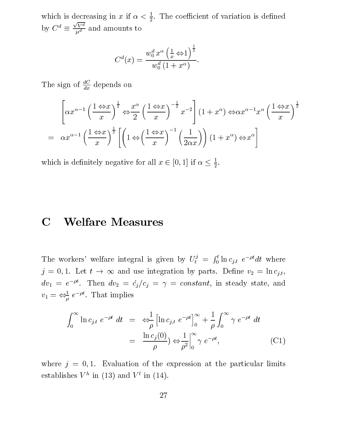which is decreasing in  $x$  if  $\alpha < \frac{1}{2}$ . The coefficient of variation is defined by  $C^* = \frac{1}{\sqrt{2}}$  and ame  $\sqrt{V^d}$  and are  $u^a$  and and and and and and another the set of  $u$ 

$$
C^d(x)=\frac{w_0^d\,x^\alpha\left(\frac{1}{x}\mathbin{\Leftrightarrow} 1\right)^{\frac{1}{2}}}{w_0^d\,(1+x^\alpha)}.
$$

The sign of  $\frac{d}{dx}$  depends on

$$
\left[\alpha x^{\alpha-1} \left(\frac{1 \Leftrightarrow x}{x}\right)^{\frac{1}{2}} \Leftrightarrow \frac{x^{\alpha}}{2} \left(\frac{1 \Leftrightarrow x}{x}\right)^{-\frac{1}{2}} x^{-2}\right] (1+x^{\alpha}) \Leftrightarrow \alpha x^{\alpha-1} x^{\alpha} \left(\frac{1 \Leftrightarrow x}{x}\right)^{\frac{1}{2}}
$$

$$
= \alpha x^{\alpha-1} \left(\frac{1 \Leftrightarrow x}{x}\right)^{\frac{1}{2}} \left[\left(1 \Leftrightarrow \left(\frac{1 \Leftrightarrow x}{x}\right)^{-1} \left(\frac{1}{2\alpha x}\right)\right) (1+x^{\alpha}) \Leftrightarrow x^{\alpha}\right]
$$

which is definitely negative for all  $x \in [0, 1]$  if  $\alpha \leq \frac{1}{2}$ .

## C Welfare Measures

The workers' welfare integral is given by  $U_t^j = \int_0^t \ln c_{j,t} e^{-\rho}$  $\int_0^t \ln c_{j,t} e^{-\rho t} dt$  where  $j = 0, 1$ . Let  $t \to \infty$  and use integration by parts. Define  $v_2 = \ln c_{j,t}$ ,  $dv_1 = e^{-\rho t}$ . Then  $dv_2 = c_j/c_j = \gamma = constant$ , in steady state, and  $v_1 = \Leftrightarrow_{\rho}^{\tau} e^{-\rho \cdot \rho}$ . That implies

$$
\int_0^\infty \ln c_{j,t} \ e^{-\rho t} \ dt = \ \Leftrightarrow \frac{1}{\rho} \left[ \ln c_{j,t} \ e^{-\rho t} \right]_0^\infty + \frac{1}{\rho} \int_0^\infty \gamma \ e^{-\rho t} \ dt
$$

$$
= \ \frac{\ln c_j(0)}{\rho} \ \Leftrightarrow \ \frac{1}{\rho^2} \Big|_0^\infty \ \gamma \ e^{-\rho t}, \tag{C1}
$$

where  $j = 0, 1$ . Evaluation of the expression at the particular limits establishes V in (15) and V in (14).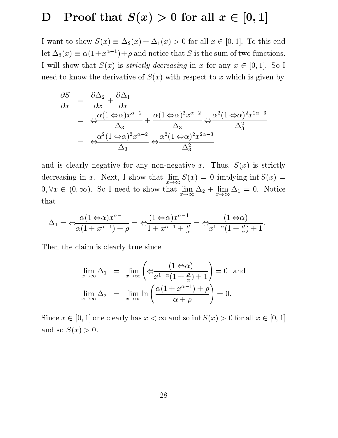## D Proof that  $S(x) > 0$  for all  $x \in [0, 1]$

I want to show  $S(x) \equiv \Delta_2(x) + \Delta_1(x) > 0$  for all  $x \in [0, 1]$ . To this end let  $\Delta_3(x) \equiv \alpha(1+x^{\alpha-1})+\rho$  and notice that S is the sum of two functions. I will show that  $S(x)$  is *strictly decreasing* in x for any  $x \in [0, 1]$ . So I need to know the derivative of  $S(x)$  with respect to x which is given by

$$
\frac{\partial S}{\partial x} = \frac{\partial \Delta_2}{\partial x} + \frac{\partial \Delta_1}{\partial x}
$$
\n
$$
= \frac{\alpha (1 \Leftrightarrow \alpha) x^{\alpha - 2}}{\Delta_3} + \frac{\alpha (1 \Leftrightarrow \alpha)^2 x^{\alpha - 2}}{\Delta_3} \Leftrightarrow \frac{\alpha^2 (1 \Leftrightarrow \alpha)^2 x^{2\alpha - 3}}{\Delta_3^2}
$$
\n
$$
= \frac{\alpha^2 (1 \Leftrightarrow \alpha)^2 x^{\alpha - 2}}{\Delta_3} \Leftrightarrow \frac{\alpha^2 (1 \Leftrightarrow \alpha)^2 x^{2\alpha - 3}}{\Delta_3^2}
$$

and is clearly negative for any non-negative x. Thus,  $S(x)$  is strictly  $\begin{array}{ccc} 0 & \rightarrow & x \rightarrow \infty \end{array}$  $x \to \infty$   $x \to \infty$   $1$ that

$$
\Delta_1 = \Leftrightarrow \frac{\alpha(1 \Leftrightarrow \alpha)x^{\alpha-1}}{\alpha(1+x^{\alpha-1})+\rho} = \Leftrightarrow \frac{(1 \Leftrightarrow \alpha)x^{\alpha-1}}{1+x^{\alpha-1}+\frac{\rho}{\alpha}} = \Leftrightarrow \frac{(1 \Leftrightarrow \alpha)}{x^{1-\alpha}(1+\frac{\rho}{\alpha})+1}.
$$

Then the claim is clearly true since

$$
\lim_{x \to \infty} \Delta_1 = \lim_{x \to \infty} \left( \Leftrightarrow \frac{(1 \Leftrightarrow \alpha)}{x^{1-\alpha}(1+\frac{\rho}{\alpha})+1} \right) = 0 \text{ and}
$$

$$
\lim_{x \to \infty} \Delta_2 = \lim_{x \to \infty} \ln \left( \frac{\alpha(1+x^{\alpha-1})+\rho}{\alpha+\rho} \right) = 0.
$$

Since  $x \in [0, 1]$  one clearly has  $x < \infty$  and so inf  $S(x) > 0$  for all  $x \in [0, 1]$ and so  $S(x) > 0$ .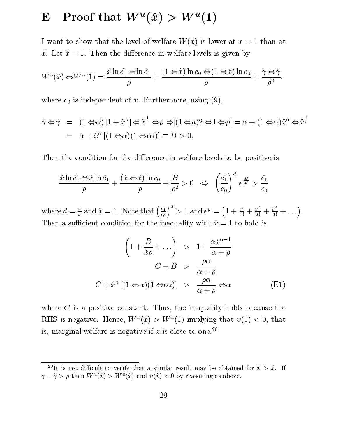## $\mathbb{E}$  Proof that W  $(x)$   $>$  W (1)

I want to show that the level of welfare  $W(x)$  is lower at  $x = 1$  than at  $\hat{x}$ . Let  $\check{x} = 1$ . Then the difference in welfare levels is given by

$$
W^{u}(\hat{x}) \Leftrightarrow W^{u}(1) = \frac{\hat{x} \ln \hat{c_1} \Leftrightarrow \ln \check{c_1}}{\rho} + \frac{(1 \Leftrightarrow \hat{x}) \ln c_0 \Leftrightarrow (1 \Leftrightarrow \check{x}) \ln c_0}{\rho} + \frac{\hat{\gamma} \Leftrightarrow \check{\gamma}}{\rho^2}.
$$

where  $c_0$  is independent of x. Furthermore, using (9),

$$
\hat{\gamma} \Leftrightarrow \check{\gamma} = (1 \Leftrightarrow \alpha) [1 + \hat{x}^{\alpha}] \Leftrightarrow \hat{x}^{\frac{1}{\epsilon}} \Leftrightarrow \rho \Leftrightarrow [(1 \Leftrightarrow a) 2 \Leftrightarrow 1 \Leftrightarrow \rho] = \alpha + (1 \Leftrightarrow \alpha) \hat{x}^{\alpha} \Leftrightarrow \hat{x}^{\frac{1}{\epsilon}}
$$
  
=  $\alpha + \hat{x}^{\alpha} [(1 \Leftrightarrow \alpha) (1 \Leftrightarrow \epsilon \alpha)] \equiv B > 0.$ 

Then the condition for the difference in welfare levels to be positive is

$$
\frac{\hat{x}\ln\hat{c_1}\Leftrightarrow \check{x}\ln\check{c_1}}{\rho} + \frac{(\check{x}\Leftrightarrow \hat{x})\ln c_0}{\rho} + \frac{B}{\rho^2} > 0 \quad \Leftrightarrow \quad \left(\frac{\hat{c_1}}{c_0}\right)^d e^{\frac{B}{\rho \check{x}}} > \frac{\check{c_1}}{c_0}
$$

where  $d = \frac{\hat{x}}{\hat{x}}$  and  $\hat{x} = 1$ . Note that  $\left(\frac{\hat{c}_1}{c_0}\right)^u > 1$ -11 \  $\left(\frac{c_1}{c_0}\right)^u > 1$  and  $e^y = \left(1 + \frac{y}{1!} + \frac{y^2}{2!}\right)$  $\left(1+\frac{y}{1!}+\frac{y^2}{2!}+\frac{y^3}{3!}+\ldots\right).$ Then a sufficient condition for the inequality with  $\tilde{x} = 1$  to hold is

$$
\left(1 + \frac{B}{\check{x}\rho} + \ldots\right) > 1 + \frac{\alpha \check{x}^{\alpha - 1}}{\alpha + \rho}
$$
\n
$$
C + B > \frac{\rho \alpha}{\alpha + \rho}
$$
\n
$$
C + \hat{x}^{\alpha} \left[ (1 \Leftrightarrow \alpha)(1 \Leftrightarrow \epsilon \alpha) \right] > \frac{\rho \alpha}{\alpha + \rho} \Leftrightarrow \alpha
$$
\n(E1)

where  $C$  is a positive constant. Thus, the inequality holds because the  $R_{\text{H}}$ S is negative. Hence, W  $(x) \geq W$  (1) implying that  $v(1) \leq v$ , that is, marginal welfare is negative if x is close to one.<sup>20</sup>

<sup>&</sup>lt;sup>20</sup>It is not difficult to verify that a similar result may be obtained for  $\tilde{x} > \hat{x}$ . If  $\gamma - \gamma > p$  then  $W^-(x) > W^-(x)$  and  $v(x) < 0$  by reasoning as above.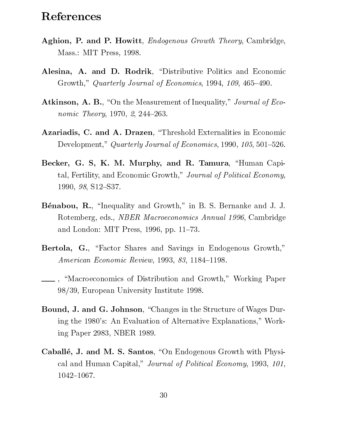## References

- Aghion, P. and P. Howitt, *Endogenous Growth Theory*, Cambridge, Mass.: MIT Press, 1998.
- Alesina, A. and D. Rodrik, "Distributive Politics and Economic Growth," Quarterly Journal of Economics, 1994, 109, 465-490.
- Atkinson, A. B., "On the Measurement of Inequality," Journal of Economic Theory, 1970,  $2, 244-263$ .
- Azariadis, C. and A. Drazen, "Threshold Externalities in Economic Development," Quarterly Journal of Economics, 1990, 105, 501-526.
- Becker, G. S, K. M. Murphy, and R. Tamura, "Human Capital, Fertility, and Economic Growth," Journal of Political Economy, 1990,  $98$ , S12-S37.
- Bénabou, R., "Inequality and Growth," in B. S. Bernanke and J. J. Rotemberg, eds., NBER Macroeconomics Annual 1996, Cambridge and London: MIT Press,  $1996$ , pp.  $11–73$ .
- Bertola, G., "Factor Shares and Savings in Endogenous Growth," American Economic Review, 1993, 83, 1184-1198.
- <sub>1</sub>, "Macroeconomics of Distribution and Growth," Working Paper 98/39, European University Institute 1998.
- Bound, J. and G. Johnson, "Changes in the Structure of Wages During the 1980's: An Evaluation of Alternative Explanations," Working Paper 2983, NBER 1989.
- Caballé, J. and M. S. Santos, "On Endogenous Growth with Physical and Human Capital," Journal of Political Economy, 1993, 101,  $1042 - 1067$ .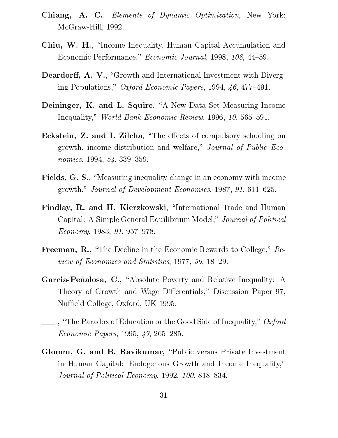- Chiang, A. C., Elements of Dynamic Optimization, New York: McGraw-Hill, 1992.
- Chiu, W. H., "Income Inequality, Human Capital Accumulation and Economic Performance," Economic Journal, 1998, 108, 44-59.
- Deardorff, A. V., "Growth and International Investment with Diverging Populations," Oxford Economic Papers, 1994, 46, 477-491.
- Deininger, K. and L. Squire, "A New Data Set Measuring Income Inequality," World Bank Economic Review, 1996, 10, 565-591.
- Eckstein, Z. and I. Zilcha, "The effects of compulsory schooling on growth, income distribution and welfare," Journal of Public Economics, 1994,  $54$ , 339-359.
- Fields, G. S., "Measuring inequality change in an economy with income growth," Journal of Development Economics, 1987, 91, 611–625.
- Findlay, R. and H. Kierzkowski, "International Trade and Human Capital: A Simple General Equilibrium Model," Journal of Political  $Economy, 1983, 91, 957-978.$
- Freeman, R., "The Decline in the Economic Rewards to College," Review of Economics and Statistics, 1977, 59, 18-29.
- Garcia-Peñalosa, C., "Absolute Poverty and Relative Inequality: A Theory of Growth and Wage Differentials," Discussion Paper 97, Nuffield College, Oxford, UK 1995.
- $\perp$ , "The Paradox of Education or the Good Side of Inequality," *Oxford* Economic Papers, 1995,  $\frac{4}{7}$ , 265-285.
- Glomm, G. and B. Ravikumar, "Public versus Private Investment in Human Capital: Endogenous Growth and Income Inequality," Journal of Political Economy, 1992, 100, 818-834.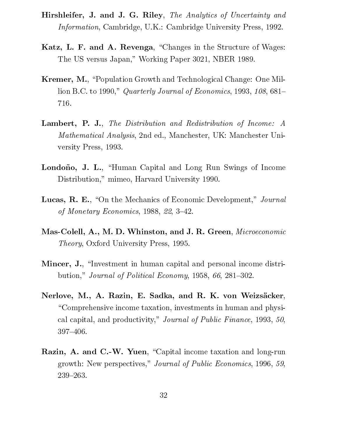- Hirshleifer, J. and J. G. Riley, The Analytics of Uncertainty and Information, Cambridge, U.K.: Cambridge University Press, 1992.
- Katz, L. F. and A. Revenga, "Changes in the Structure of Wages: The US versus Japan," Working Paper 3021, NBER 1989.
- Kremer, M., "Population Growth and Technological Change: One Million B.C. to 1990," Quarterly Journal of Economics, 1993, 108, 681– 716.
- Lambert, P. J., The Distribution and Redistribution of Income: A Mathematical Analysis, 2nd ed., Manchester, UK: Manchester University Press, 1993.
- Londoño, J. L., "Human Capital and Long Run Swings of Income Distribution," mimeo, Harvard University 1990.
- Lucas, R. E., "On the Mechanics of Economic Development," Journal of Monetary Economics,  $1988, 22, 3-42$ .
- Mas-Colell, A., M. D. Whinston, and J. R. Green, Microeconomic Theory, Oxford University Press, 1995.
- Mincer, J., "Investment in human capital and personal income distribution," Journal of Political Economy, 1958, 66, 281–302.
- Nerlove, M., A. Razin, E. Sadka, and R. K. von Weizsäcker, \Comprehensive income taxation, investments in human and physical capital, and productivity," Journal of Public Finance, 1993, 50, 397-406.
- Razin, A. and C.-W. Yuen, "Capital income taxation and long-run growth: New perspectives," Journal of Public Economics, 1996, 59, 239-263.